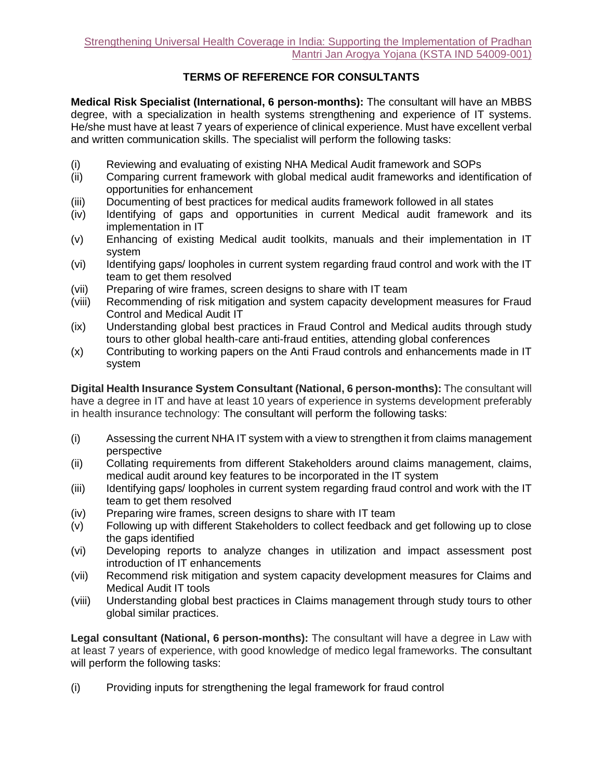## **TERMS OF REFERENCE FOR CONSULTANTS**

**Medical Risk Specialist (International, 6 person-months):** The consultant will have an MBBS degree, with a specialization in health systems strengthening and experience of IT systems. He/she must have at least 7 years of experience of clinical experience. Must have excellent verbal and written communication skills. The specialist will perform the following tasks:

- (i) Reviewing and evaluating of existing NHA Medical Audit framework and SOPs
- (ii) Comparing current framework with global medical audit frameworks and identification of opportunities for enhancement
- (iii) Documenting of best practices for medical audits framework followed in all states
- (iv) Identifying of gaps and opportunities in current Medical audit framework and its implementation in IT
- (v) Enhancing of existing Medical audit toolkits, manuals and their implementation in IT system
- (vi) Identifying gaps/ loopholes in current system regarding fraud control and work with the IT team to get them resolved
- (vii) Preparing of wire frames, screen designs to share with IT team
- (viii) Recommending of risk mitigation and system capacity development measures for Fraud Control and Medical Audit IT
- (ix) Understanding global best practices in Fraud Control and Medical audits through study tours to other global health-care anti-fraud entities, attending global conferences
- (x) Contributing to working papers on the Anti Fraud controls and enhancements made in IT system

**Digital Health Insurance System Consultant (National, 6 person-months):** The consultant will have a degree in IT and have at least 10 years of experience in systems development preferably in health insurance technology: The consultant will perform the following tasks:

- (i) Assessing the current NHA IT system with a view to strengthen it from claims management perspective
- (ii) Collating requirements from different Stakeholders around claims management, claims, medical audit around key features to be incorporated in the IT system
- (iii) Identifying gaps/ loopholes in current system regarding fraud control and work with the IT team to get them resolved
- (iv) Preparing wire frames, screen designs to share with IT team
- (v) Following up with different Stakeholders to collect feedback and get following up to close the gaps identified
- (vi) Developing reports to analyze changes in utilization and impact assessment post introduction of IT enhancements
- (vii) Recommend risk mitigation and system capacity development measures for Claims and Medical Audit IT tools
- (viii) Understanding global best practices in Claims management through study tours to other global similar practices.

**Legal consultant (National, 6 person-months):** The consultant will have a degree in Law with at least 7 years of experience, with good knowledge of medico legal frameworks. The consultant will perform the following tasks:

(i) Providing inputs for strengthening the legal framework for fraud control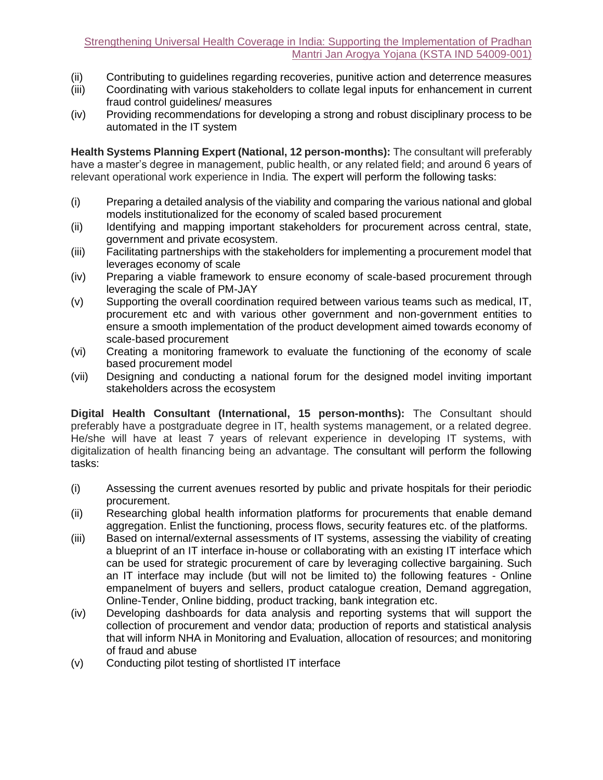- (ii) Contributing to guidelines regarding recoveries, punitive action and deterrence measures
- (iii) Coordinating with various stakeholders to collate legal inputs for enhancement in current fraud control guidelines/ measures
- (iv) Providing recommendations for developing a strong and robust disciplinary process to be automated in the IT system

**Health Systems Planning Expert (National, 12 person-months):** The consultant will preferably have a master's degree in management, public health, or any related field; and around 6 years of relevant operational work experience in India. The expert will perform the following tasks:

- (i) Preparing a detailed analysis of the viability and comparing the various national and global models institutionalized for the economy of scaled based procurement
- (ii) Identifying and mapping important stakeholders for procurement across central, state, government and private ecosystem.
- (iii) Facilitating partnerships with the stakeholders for implementing a procurement model that leverages economy of scale
- (iv) Preparing a viable framework to ensure economy of scale-based procurement through leveraging the scale of PM-JAY
- (v) Supporting the overall coordination required between various teams such as medical, IT, procurement etc and with various other government and non-government entities to ensure a smooth implementation of the product development aimed towards economy of scale-based procurement
- (vi) Creating a monitoring framework to evaluate the functioning of the economy of scale based procurement model
- (vii) Designing and conducting a national forum for the designed model inviting important stakeholders across the ecosystem

**Digital Health Consultant (International, 15 person-months):** The Consultant should preferably have a postgraduate degree in IT, health systems management, or a related degree. He/she will have at least 7 years of relevant experience in developing IT systems, with digitalization of health financing being an advantage. The consultant will perform the following tasks:

- (i) Assessing the current avenues resorted by public and private hospitals for their periodic procurement.
- (ii) Researching global health information platforms for procurements that enable demand aggregation. Enlist the functioning, process flows, security features etc. of the platforms.
- (iii) Based on internal/external assessments of IT systems, assessing the viability of creating a blueprint of an IT interface in-house or collaborating with an existing IT interface which can be used for strategic procurement of care by leveraging collective bargaining. Such an IT interface may include (but will not be limited to) the following features - Online empanelment of buyers and sellers, product catalogue creation, Demand aggregation, Online-Tender, Online bidding, product tracking, bank integration etc.
- (iv) Developing dashboards for data analysis and reporting systems that will support the collection of procurement and vendor data; production of reports and statistical analysis that will inform NHA in Monitoring and Evaluation, allocation of resources; and monitoring of fraud and abuse
- (v) Conducting pilot testing of shortlisted IT interface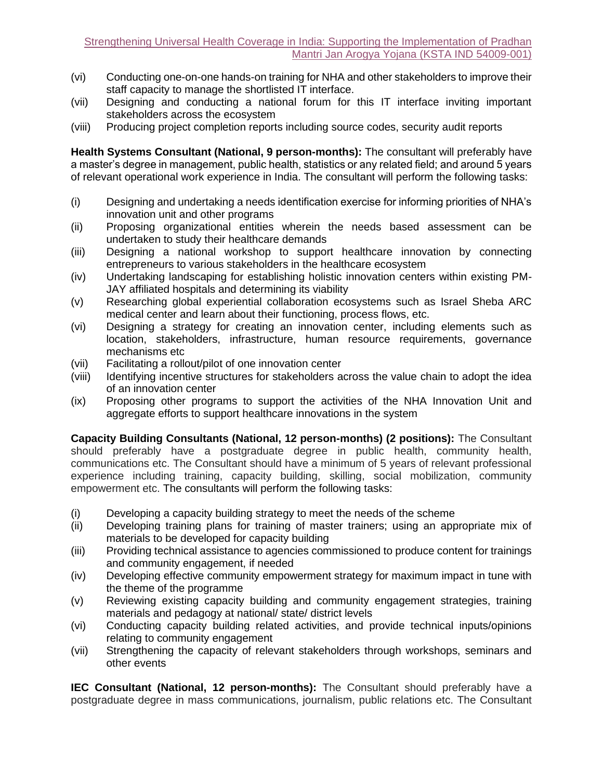- (vi) Conducting one-on-one hands-on training for NHA and other stakeholders to improve their staff capacity to manage the shortlisted IT interface.
- (vii) Designing and conducting a national forum for this IT interface inviting important stakeholders across the ecosystem
- (viii) Producing project completion reports including source codes, security audit reports

**Health Systems Consultant (National, 9 person-months):** The consultant will preferably have a master's degree in management, public health, statistics or any related field; and around 5 years of relevant operational work experience in India. The consultant will perform the following tasks:

- (i) Designing and undertaking a needs identification exercise for informing priorities of NHA's innovation unit and other programs
- (ii) Proposing organizational entities wherein the needs based assessment can be undertaken to study their healthcare demands
- (iii) Designing a national workshop to support healthcare innovation by connecting entrepreneurs to various stakeholders in the healthcare ecosystem
- (iv) Undertaking landscaping for establishing holistic innovation centers within existing PM-JAY affiliated hospitals and determining its viability
- (v) Researching global experiential collaboration ecosystems such as Israel Sheba ARC medical center and learn about their functioning, process flows, etc.
- (vi) Designing a strategy for creating an innovation center, including elements such as location, stakeholders, infrastructure, human resource requirements, governance mechanisms etc
- (vii) Facilitating a rollout/pilot of one innovation center
- (viii) Identifying incentive structures for stakeholders across the value chain to adopt the idea of an innovation center
- (ix) Proposing other programs to support the activities of the NHA Innovation Unit and aggregate efforts to support healthcare innovations in the system

**Capacity Building Consultants (National, 12 person-months) (2 positions):** The Consultant should preferably have a postgraduate degree in public health, community health, communications etc. The Consultant should have a minimum of 5 years of relevant professional experience including training, capacity building, skilling, social mobilization, community empowerment etc. The consultants will perform the following tasks:

- (i) Developing a capacity building strategy to meet the needs of the scheme
- (ii) Developing training plans for training of master trainers; using an appropriate mix of materials to be developed for capacity building
- (iii) Providing technical assistance to agencies commissioned to produce content for trainings and community engagement, if needed
- (iv) Developing effective community empowerment strategy for maximum impact in tune with the theme of the programme
- (v) Reviewing existing capacity building and community engagement strategies, training materials and pedagogy at national/ state/ district levels
- (vi) Conducting capacity building related activities, and provide technical inputs/opinions relating to community engagement
- (vii) Strengthening the capacity of relevant stakeholders through workshops, seminars and other events

**IEC Consultant (National, 12 person-months):** The Consultant should preferably have a postgraduate degree in mass communications, journalism, public relations etc. The Consultant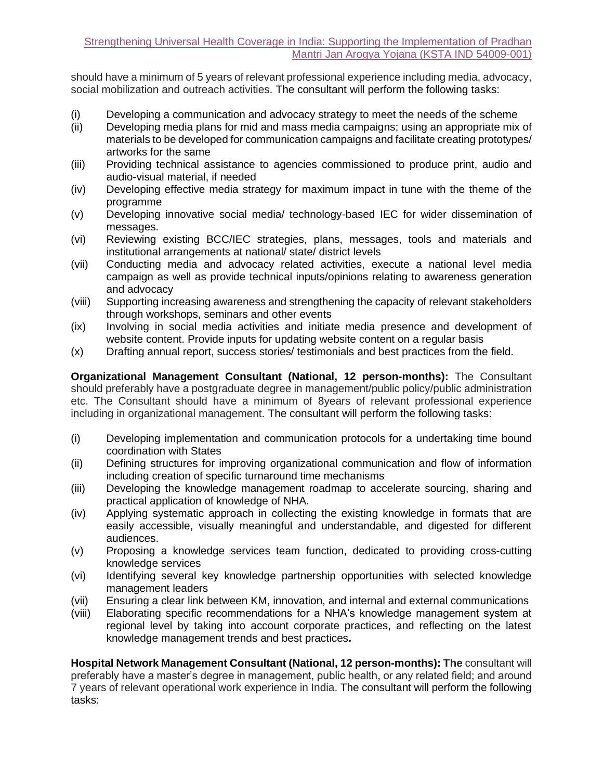should have a minimum of 5 years of relevant professional experience including media, advocacy, social mobilization and outreach activities. The consultant will perform the following tasks:

- (i) Developing a communication and advocacy strategy to meet the needs of the scheme
- (ii) Developing media plans for mid and mass media campaigns; using an appropriate mix of materials to be developed for communication campaigns and facilitate creating prototypes/ artworks for the same
- (iii) Providing technical assistance to agencies commissioned to produce print, audio and audio-visual material, if needed
- (iv) Developing effective media strategy for maximum impact in tune with the theme of the programme
- (v) Developing innovative social media/ technology-based IEC for wider dissemination of messages.
- (vi) Reviewing existing BCC/IEC strategies, plans, messages, tools and materials and institutional arrangements at national/ state/ district levels
- (vii) Conducting media and advocacy related activities, execute a national level media campaign as well as provide technical inputs/opinions relating to awareness generation and advocacy
- (viii) Supporting increasing awareness and strengthening the capacity of relevant stakeholders through workshops, seminars and other events
- (ix) Involving in social media activities and initiate media presence and development of website content. Provide inputs for updating website content on a regular basis
- (x) Drafting annual report, success stories/ testimonials and best practices from the field.

**Organizational Management Consultant (National, 12 person-months):** The Consultant should preferably have a postgraduate degree in management/public policy/public administration etc. The Consultant should have a minimum of 8years of relevant professional experience including in organizational management. The consultant will perform the following tasks:

- (i) Developing implementation and communication protocols for a undertaking time bound coordination with States
- (ii) Defining structures for improving organizational communication and flow of information including creation of specific turnaround time mechanisms
- (iii) Developing the knowledge management roadmap to accelerate sourcing, sharing and practical application of knowledge of NHA.
- (iv) Applying systematic approach in collecting the existing knowledge in formats that are easily accessible, visually meaningful and understandable, and digested for different audiences.
- (v) Proposing a knowledge services team function, dedicated to providing cross-cutting knowledge services
- (vi) Identifying several key knowledge partnership opportunities with selected knowledge management leaders
- (vii) Ensuring a clear link between KM, innovation, and internal and external communications
- (viii) Elaborating specific recommendations for a NHA's knowledge management system at regional level by taking into account corporate practices, and reflecting on the latest knowledge management trends and best practices**.**

**Hospital Network Management Consultant (National, 12 person-months): The** consultant will preferably have a master's degree in management, public health, or any related field; and around 7 years of relevant operational work experience in India. The consultant will perform the following tasks: